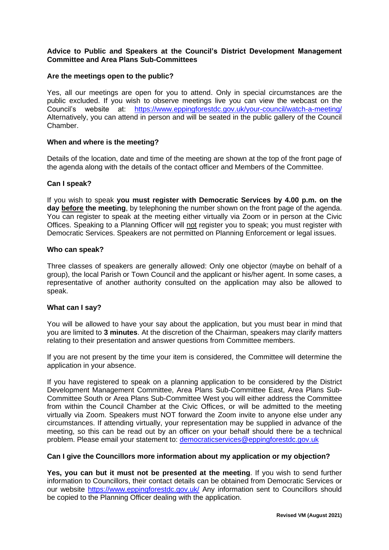# **Advice to Public and Speakers at the Council's District Development Management Committee and Area Plans Sub-Committees**

## **Are the meetings open to the public?**

Yes, all our meetings are open for you to attend. Only in special circumstances are the public excluded. If you wish to observe meetings live you can view the webcast on the Council's website at: <https://www.eppingforestdc.gov.uk/your-council/watch-a-meeting/> Alternatively, you can attend in person and will be seated in the public gallery of the Council Chamber.

## **When and where is the meeting?**

Details of the location, date and time of the meeting are shown at the top of the front page of the agenda along with the details of the contact officer and Members of the Committee.

### **Can I speak?**

If you wish to speak **you must register with Democratic Services by 4.00 p.m. on the day before the meeting**, by telephoning the number shown on the front page of the agenda. You can register to speak at the meeting either virtually via Zoom or in person at the Civic Offices. Speaking to a Planning Officer will not register you to speak; you must register with Democratic Services. Speakers are not permitted on Planning Enforcement or legal issues.

### **Who can speak?**

Three classes of speakers are generally allowed: Only one objector (maybe on behalf of a group), the local Parish or Town Council and the applicant or his/her agent. In some cases, a representative of another authority consulted on the application may also be allowed to speak.

### **What can I say?**

You will be allowed to have your say about the application, but you must bear in mind that you are limited to **3 minutes**. At the discretion of the Chairman, speakers may clarify matters relating to their presentation and answer questions from Committee members.

If you are not present by the time your item is considered, the Committee will determine the application in your absence.

If you have registered to speak on a planning application to be considered by the District Development Management Committee, Area Plans Sub-Committee East, Area Plans Sub-Committee South or Area Plans Sub-Committee West you will either address the Committee from within the Council Chamber at the Civic Offices, or will be admitted to the meeting virtually via Zoom. Speakers must NOT forward the Zoom invite to anyone else under any circumstances. If attending virtually, your representation may be supplied in advance of the meeting, so this can be read out by an officer on your behalf should there be a technical problem. Please email your statement to: [democraticservices@eppingforestdc.gov.uk](mailto:democraticservices@eppingforestdc.gov.uk)

### **Can I give the Councillors more information about my application or my objection?**

**Yes, you can but it must not be presented at the meeting**. If you wish to send further information to Councillors, their contact details can be obtained from Democratic Services or our website<https://www.eppingforestdc.gov.uk/> Any information sent to Councillors should be copied to the Planning Officer dealing with the application.